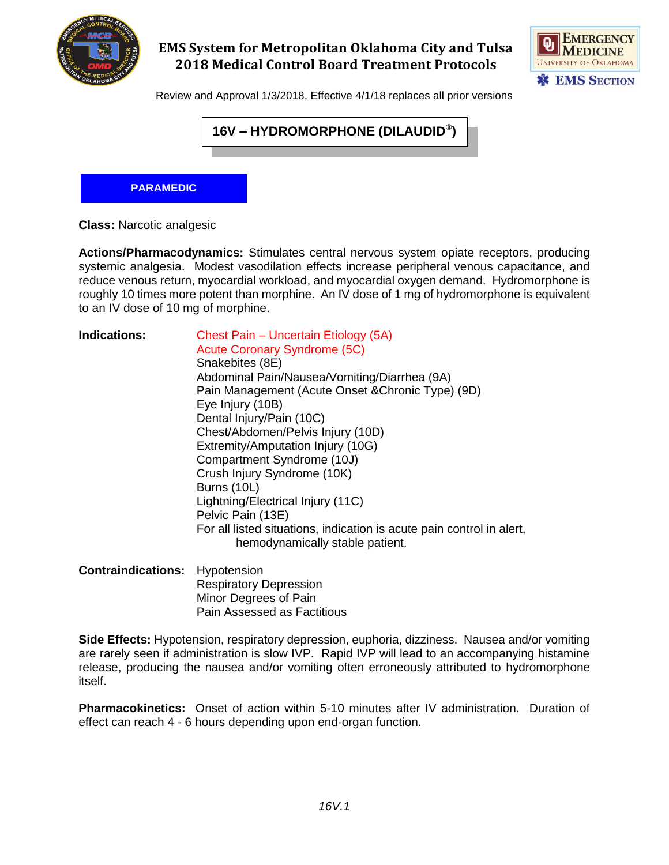

# **EMS System for Metropolitan Oklahoma City and Tulsa 2018 Medical Control Board Treatment Protocols**



Review and Approval 1/3/2018, Effective 4/1/18 replaces all prior versions

**Actions/Pharmacodynamics:** Stimulates central nervous system opiate receptors, producing systemic analgesia. Modest vasodilation effects increase peripheral venous capacitance, and reduce venous return, myocardial workload, and myocardial oxygen demand. Hydromorphone is roughly 10 times more potent than morphine. An IV dose of 1 mg of hydromorphone is equivalent to an IV dose of 10 mg of morphine.

|                                     | 16V – HYDROMORPHONE (DILAUDID®)                                                                                                                                                                                                                                                                                                                                                                                                                                                                                                                                                 |
|-------------------------------------|---------------------------------------------------------------------------------------------------------------------------------------------------------------------------------------------------------------------------------------------------------------------------------------------------------------------------------------------------------------------------------------------------------------------------------------------------------------------------------------------------------------------------------------------------------------------------------|
| <b>PARAMEDIC</b>                    |                                                                                                                                                                                                                                                                                                                                                                                                                                                                                                                                                                                 |
| <b>Class: Narcotic analgesic</b>    |                                                                                                                                                                                                                                                                                                                                                                                                                                                                                                                                                                                 |
| to an IV dose of 10 mg of morphine. | Actions/Pharmacodynamics: Stimulates central nervous system opiate receptors,<br>systemic analgesia. Modest vasodilation effects increase peripheral venous capacit<br>reduce venous return, myocardial workload, and myocardial oxygen demand. Hydrom<br>roughly 10 times more potent than morphine. An IV dose of 1 mg of hydromorphone is                                                                                                                                                                                                                                    |
| <b>Indications:</b>                 | Chest Pain - Uncertain Etiology (5A)<br><b>Acute Coronary Syndrome (5C)</b><br>Snakebites (8E)<br>Abdominal Pain/Nausea/Vomiting/Diarrhea (9A)<br>Pain Management (Acute Onset & Chronic Type) (9D)<br>Eye Injury (10B)<br>Dental Injury/Pain (10C)<br>Chest/Abdomen/Pelvis Injury (10D)<br>Extremity/Amputation Injury (10G)<br>Compartment Syndrome (10J)<br>Crush Injury Syndrome (10K)<br>Burns (10L)<br>Lightning/Electrical Injury (11C)<br>Pelvic Pain (13E)<br>For all listed situations, indication is acute pain control in alert,<br>hemodynamically stable patient. |
| <b>Contraindications:</b>           | Hypotension<br><b>Respiratory Depression</b><br>Minor Degrees of Pain<br>Pain Assessed as Factitious                                                                                                                                                                                                                                                                                                                                                                                                                                                                            |
| itself.                             | Side Effects: Hypotension, respiratory depression, euphoria, dizziness. Nausea and/o<br>are rarely seen if administration is slow IVP. Rapid IVP will lead to an accompanying<br>release, producing the nausea and/or vomiting often erroneously attributed to hydro                                                                                                                                                                                                                                                                                                            |
|                                     | <b>Pharmacokinetics:</b> Onset of action within 5-10 minutes after IV administration. E<br>effect can reach 4 - 6 hours depending upon end-organ function.                                                                                                                                                                                                                                                                                                                                                                                                                      |
|                                     |                                                                                                                                                                                                                                                                                                                                                                                                                                                                                                                                                                                 |
|                                     | 16V.1                                                                                                                                                                                                                                                                                                                                                                                                                                                                                                                                                                           |

**Side Effects:** Hypotension, respiratory depression, euphoria, dizziness. Nausea and/or vomiting are rarely seen if administration is slow IVP. Rapid IVP will lead to an accompanying histamine release, producing the nausea and/or vomiting often erroneously attributed to hydromorphone itself.

**Pharmacokinetics:** Onset of action within 5-10 minutes after IV administration. Duration of effect can reach 4 - 6 hours depending upon end-organ function.